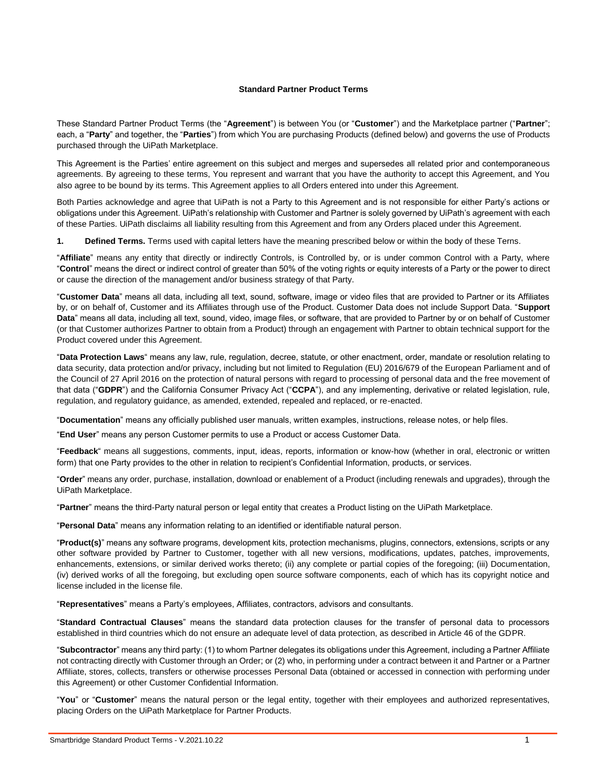#### **Standard Partner Product Terms**

These Standard Partner Product Terms (the "**Agreement**") is between You (or "**Customer**") and the Marketplace partner ("**Partner**"; each, a "**Party**" and together, the "**Parties**") from which You are purchasing Products (defined below) and governs the use of Products purchased through the UiPath Marketplace.

This Agreement is the Parties' entire agreement on this subject and merges and supersedes all related prior and contemporaneous agreements. By agreeing to these terms, You represent and warrant that you have the authority to accept this Agreement, and You also agree to be bound by its terms. This Agreement applies to all Orders entered into under this Agreement.

Both Parties acknowledge and agree that UiPath is not a Party to this Agreement and is not responsible for either Party's actions or obligations under this Agreement. UiPath's relationship with Customer and Partner is solely governed by UiPath's agreement with each of these Parties. UiPath disclaims all liability resulting from this Agreement and from any Orders placed under this Agreement.

**1. Defined Terms.** Terms used with capital letters have the meaning prescribed below or within the body of these Terns.

"**Affiliate**" means any entity that directly or indirectly Controls, is Controlled by, or is under common Control with a Party, where "**Control**" means the direct or indirect control of greater than 50% of the voting rights or equity interests of a Party or the power to direct or cause the direction of the management and/or business strategy of that Party.

"**Customer Data**" means all data, including all text, sound, software, image or video files that are provided to Partner or its Affiliates by, or on behalf of, Customer and its Affiliates through use of the Product. Customer Data does not include Support Data. "**Support Data**" means all data, including all text, sound, video, image files, or software, that are provided to Partner by or on behalf of Customer (or that Customer authorizes Partner to obtain from a Product) through an engagement with Partner to obtain technical support for the Product covered under this Agreement.

"**Data Protection Laws**" means any law, rule, regulation, decree, statute, or other enactment, order, mandate or resolution relating to data security, data protection and/or privacy, including but not limited to Regulation (EU) 2016/679 of the European Parliament and of the Council of 27 April 2016 on the protection of natural persons with regard to processing of personal data and the free movement of that data ("**GDPR**") and the California Consumer Privacy Act ("**CCPA**"), and any implementing, derivative or related legislation, rule, regulation, and regulatory guidance, as amended, extended, repealed and replaced, or re-enacted.

"**Documentation**" means any officially published user manuals, written examples, instructions, release notes, or help files.

"**End User**" means any person Customer permits to use a Product or access Customer Data.

"**Feedback**" means all suggestions, comments, input, ideas, reports, information or know-how (whether in oral, electronic or written form) that one Party provides to the other in relation to recipient's Confidential Information, products, or services.

"**Order**" means any order, purchase, installation, download or enablement of a Product (including renewals and upgrades), through the UiPath Marketplace.

"**Partner**" means the third-Party natural person or legal entity that creates a Product listing on the UiPath Marketplace.

"**Personal Data**" means any information relating to an identified or identifiable natural person.

"**Product(s)**" means any software programs, development kits, protection mechanisms, plugins, connectors, extensions, scripts or any other software provided by Partner to Customer, together with all new versions, modifications, updates, patches, improvements, enhancements, extensions, or similar derived works thereto; (ii) any complete or partial copies of the foregoing; (iii) Documentation, (iv) derived works of all the foregoing, but excluding open source software components, each of which has its copyright notice and license included in the license file.

"**Representatives**" means a Party's employees, Affiliates, contractors, advisors and consultants.

"**Standard Contractual Clauses**" means the standard data protection clauses for the transfer of personal data to processors established in third countries which do not ensure an adequate level of data protection, as described in Article 46 of the GDPR.

"**Subcontractor**" means any third party: (1) to whom Partner delegates its obligations under this Agreement, including a Partner Affiliate not contracting directly with Customer through an Order; or (2) who, in performing under a contract between it and Partner or a Partner Affiliate, stores, collects, transfers or otherwise processes Personal Data (obtained or accessed in connection with performing under this Agreement) or other Customer Confidential Information.

"**You**" or "**Customer**" means the natural person or the legal entity, together with their employees and authorized representatives, placing Orders on the UiPath Marketplace for Partner Products.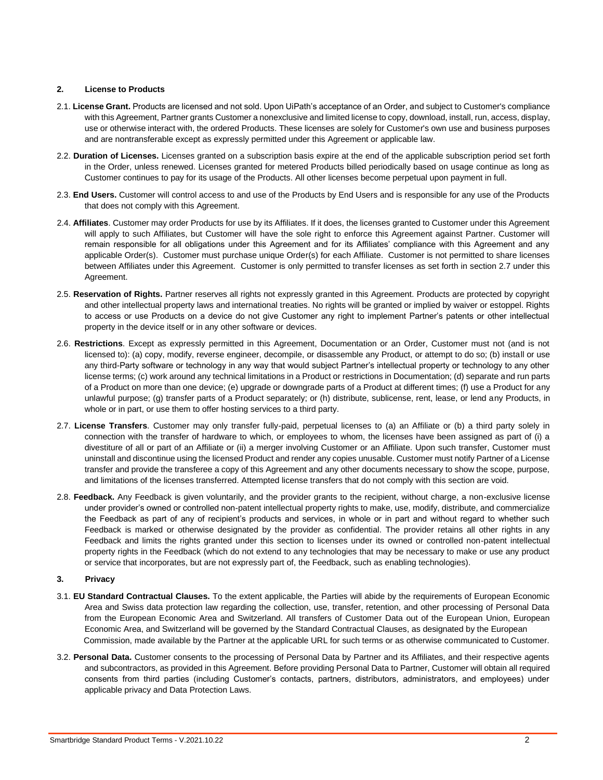#### **2. License to Products**

- 2.1. **License Grant.** Products are licensed and not sold. Upon UiPath's acceptance of an Order, and subject to Customer's compliance with this Agreement, Partner grants Customer a nonexclusive and limited license to copy, download, install, run, access, display, use or otherwise interact with, the ordered Products. These licenses are solely for Customer's own use and business purposes and are nontransferable except as expressly permitted under this Agreement or applicable law.
- 2.2. **Duration of Licenses.** Licenses granted on a subscription basis expire at the end of the applicable subscription period set forth in the Order, unless renewed. Licenses granted for metered Products billed periodically based on usage continue as long as Customer continues to pay for its usage of the Products. All other licenses become perpetual upon payment in full.
- 2.3. **End Users.** Customer will control access to and use of the Products by End Users and is responsible for any use of the Products that does not comply with this Agreement.
- 2.4. **Affiliates**. Customer may order Products for use by its Affiliates. If it does, the licenses granted to Customer under this Agreement will apply to such Affiliates, but Customer will have the sole right to enforce this Agreement against Partner. Customer will remain responsible for all obligations under this Agreement and for its Affiliates' compliance with this Agreement and any applicable Order(s). Customer must purchase unique Order(s) for each Affiliate. Customer is not permitted to share licenses between Affiliates under this Agreement. Customer is only permitted to transfer licenses as set forth in section 2.7 under this Agreement.
- 2.5. **Reservation of Rights.** Partner reserves all rights not expressly granted in this Agreement. Products are protected by copyright and other intellectual property laws and international treaties. No rights will be granted or implied by waiver or estoppel. Rights to access or use Products on a device do not give Customer any right to implement Partner's patents or other intellectual property in the device itself or in any other software or devices.
- 2.6. **Restrictions**. Except as expressly permitted in this Agreement, Documentation or an Order, Customer must not (and is not licensed to): (a) copy, modify, reverse engineer, decompile, or disassemble any Product, or attempt to do so; (b) install or use any third-Party software or technology in any way that would subject Partner's intellectual property or technology to any other license terms; (c) work around any technical limitations in a Product or restrictions in Documentation; (d) separate and run parts of a Product on more than one device; (e) upgrade or downgrade parts of a Product at different times; (f) use a Product for any unlawful purpose; (g) transfer parts of a Product separately; or (h) distribute, sublicense, rent, lease, or lend any Products, in whole or in part, or use them to offer hosting services to a third party.
- 2.7. **License Transfers**. Customer may only transfer fully-paid, perpetual licenses to (a) an Affiliate or (b) a third party solely in connection with the transfer of hardware to which, or employees to whom, the licenses have been assigned as part of (i) a divestiture of all or part of an Affiliate or (ii) a merger involving Customer or an Affiliate. Upon such transfer, Customer must uninstall and discontinue using the licensed Product and render any copies unusable. Customer must notify Partner of a License transfer and provide the transferee a copy of this Agreement and any other documents necessary to show the scope, purpose, and limitations of the licenses transferred. Attempted license transfers that do not comply with this section are void.
- 2.8. **Feedback.** Any Feedback is given voluntarily, and the provider grants to the recipient, without charge, a non-exclusive license under provider's owned or controlled non-patent intellectual property rights to make, use, modify, distribute, and commercialize the Feedback as part of any of recipient's products and services, in whole or in part and without regard to whether such Feedback is marked or otherwise designated by the provider as confidential. The provider retains all other rights in any Feedback and limits the rights granted under this section to licenses under its owned or controlled non-patent intellectual property rights in the Feedback (which do not extend to any technologies that may be necessary to make or use any product or service that incorporates, but are not expressly part of, the Feedback, such as enabling technologies).

#### **3. Privacy**

- 3.1. **EU Standard Contractual Clauses.** To the extent applicable, the Parties will abide by the requirements of European Economic Area and Swiss data protection law regarding the collection, use, transfer, retention, and other processing of Personal Data from the European Economic Area and Switzerland. All transfers of Customer Data out of the European Union, European Economic Area, and Switzerland will be governed by the Standard Contractual Clauses, as designated by the European Commission, made available by the Partner at the applicable URL for such terms or as otherwise communicated to Customer.
- 3.2. **Personal Data.** Customer consents to the processing of Personal Data by Partner and its Affiliates, and their respective agents and subcontractors, as provided in this Agreement. Before providing Personal Data to Partner, Customer will obtain all required consents from third parties (including Customer's contacts, partners, distributors, administrators, and employees) under applicable privacy and Data Protection Laws.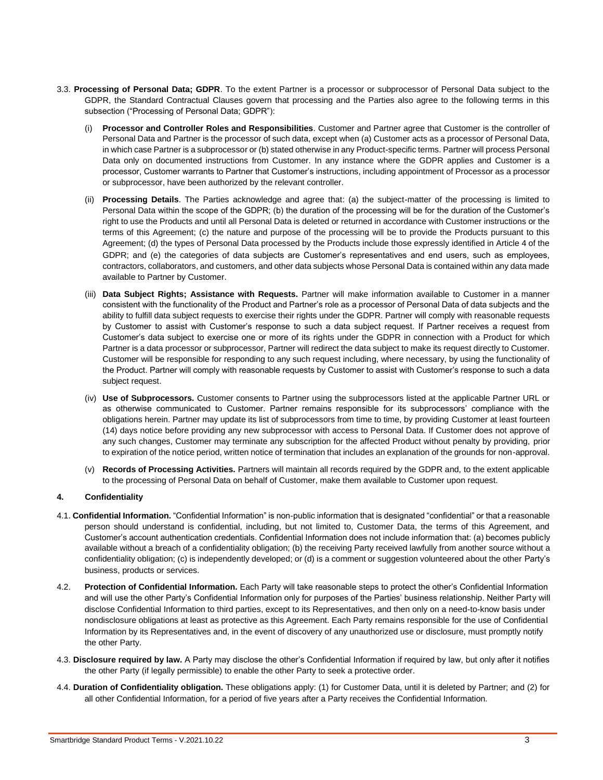- 3.3. **Processing of Personal Data; GDPR**. To the extent Partner is a processor or subprocessor of Personal Data subject to the GDPR, the Standard Contractual Clauses govern that processing and the Parties also agree to the following terms in this subsection ("Processing of Personal Data; GDPR"):
	- (i) **Processor and Controller Roles and Responsibilities**. Customer and Partner agree that Customer is the controller of Personal Data and Partner is the processor of such data, except when (a) Customer acts as a processor of Personal Data, in which case Partner is a subprocessor or (b) stated otherwise in any Product-specific terms. Partner will process Personal Data only on documented instructions from Customer. In any instance where the GDPR applies and Customer is a processor, Customer warrants to Partner that Customer's instructions, including appointment of Processor as a processor or subprocessor, have been authorized by the relevant controller.
	- (ii) **Processing Details**. The Parties acknowledge and agree that: (a) the subject-matter of the processing is limited to Personal Data within the scope of the GDPR; (b) the duration of the processing will be for the duration of the Customer's right to use the Products and until all Personal Data is deleted or returned in accordance with Customer instructions or the terms of this Agreement; (c) the nature and purpose of the processing will be to provide the Products pursuant to this Agreement; (d) the types of Personal Data processed by the Products include those expressly identified in Article 4 of the GDPR; and (e) the categories of data subjects are Customer's representatives and end users, such as employees, contractors, collaborators, and customers, and other data subjects whose Personal Data is contained within any data made available to Partner by Customer.
	- (iii) **Data Subject Rights; Assistance with Requests.** Partner will make information available to Customer in a manner consistent with the functionality of the Product and Partner's role as a processor of Personal Data of data subjects and the ability to fulfill data subject requests to exercise their rights under the GDPR. Partner will comply with reasonable requests by Customer to assist with Customer's response to such a data subject request. If Partner receives a request from Customer's data subject to exercise one or more of its rights under the GDPR in connection with a Product for which Partner is a data processor or subprocessor, Partner will redirect the data subject to make its request directly to Customer. Customer will be responsible for responding to any such request including, where necessary, by using the functionality of the Product. Partner will comply with reasonable requests by Customer to assist with Customer's response to such a data subject request.
	- (iv) **Use of Subprocessors.** Customer consents to Partner using the subprocessors listed at the applicable Partner URL or as otherwise communicated to Customer. Partner remains responsible for its subprocessors' compliance with the obligations herein. Partner may update its list of subprocessors from time to time, by providing Customer at least fourteen (14) days notice before providing any new subprocessor with access to Personal Data. If Customer does not approve of any such changes, Customer may terminate any subscription for the affected Product without penalty by providing, prior to expiration of the notice period, written notice of termination that includes an explanation of the grounds for non-approval.
	- (v) **Records of Processing Activities.** Partners will maintain all records required by the GDPR and, to the extent applicable to the processing of Personal Data on behalf of Customer, make them available to Customer upon request.

# **4. Confidentiality**

- 4.1. **Confidential Information.** "Confidential Information" is non-public information that is designated "confidential" or that a reasonable person should understand is confidential, including, but not limited to, Customer Data, the terms of this Agreement, and Customer's account authentication credentials. Confidential Information does not include information that: (a) becomes publicly available without a breach of a confidentiality obligation; (b) the receiving Party received lawfully from another source without a confidentiality obligation; (c) is independently developed; or (d) is a comment or suggestion volunteered about the other Party's business, products or services.
- 4.2. **Protection of Confidential Information.** Each Party will take reasonable steps to protect the other's Confidential Information and will use the other Party's Confidential Information only for purposes of the Parties' business relationship. Neither Party will disclose Confidential Information to third parties, except to its Representatives, and then only on a need-to-know basis under nondisclosure obligations at least as protective as this Agreement. Each Party remains responsible for the use of Confidential Information by its Representatives and, in the event of discovery of any unauthorized use or disclosure, must promptly notify the other Party.
- 4.3. **Disclosure required by law.** A Party may disclose the other's Confidential Information if required by law, but only after it notifies the other Party (if legally permissible) to enable the other Party to seek a protective order.
- 4.4. **Duration of Confidentiality obligation.** These obligations apply: (1) for Customer Data, until it is deleted by Partner; and (2) for all other Confidential Information, for a period of five years after a Party receives the Confidential Information.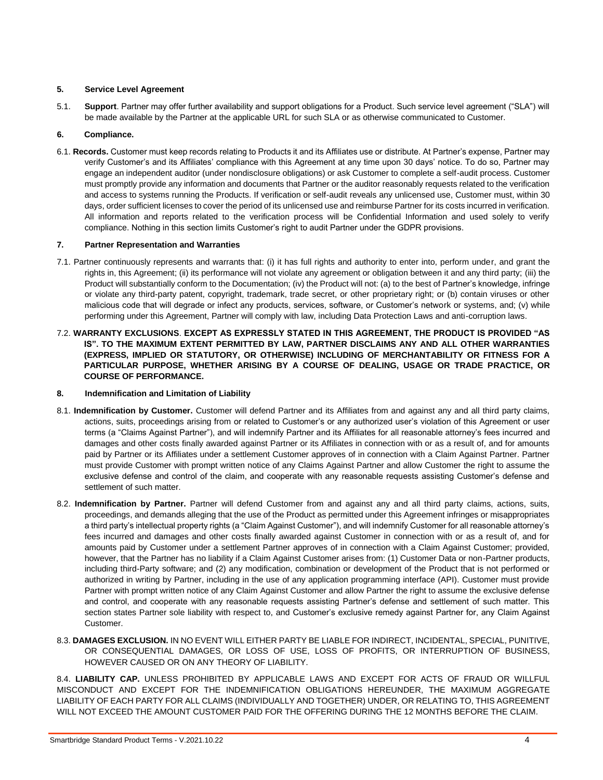# **5. Service Level Agreement**

5.1. **Support**. Partner may offer further availability and support obligations for a Product. Such service level agreement ("SLA") will be made available by the Partner at the applicable URL for such SLA or as otherwise communicated to Customer.

# **6. Compliance.**

6.1. **Records.** Customer must keep records relating to Products it and its Affiliates use or distribute. At Partner's expense, Partner may verify Customer's and its Affiliates' compliance with this Agreement at any time upon 30 days' notice. To do so, Partner may engage an independent auditor (under nondisclosure obligations) or ask Customer to complete a self-audit process. Customer must promptly provide any information and documents that Partner or the auditor reasonably requests related to the verification and access to systems running the Products. If verification or self-audit reveals any unlicensed use, Customer must, within 30 days, order sufficient licenses to cover the period of its unlicensed use and reimburse Partner for its costs incurred in verification. All information and reports related to the verification process will be Confidential Information and used solely to verify compliance. Nothing in this section limits Customer's right to audit Partner under the GDPR provisions.

# **7. Partner Representation and Warranties**

- 7.1. Partner continuously represents and warrants that: (i) it has full rights and authority to enter into, perform under, and grant the rights in, this Agreement; (ii) its performance will not violate any agreement or obligation between it and any third party; (iii) the Product will substantially conform to the Documentation; (iv) the Product will not: (a) to the best of Partner's knowledge, infringe or violate any third-party patent, copyright, trademark, trade secret, or other proprietary right; or (b) contain viruses or other malicious code that will degrade or infect any products, services, software, or Customer's network or systems, and; (v) while performing under this Agreement, Partner will comply with law, including Data Protection Laws and anti-corruption laws.
- 7.2. **WARRANTY EXCLUSIONS**. **EXCEPT AS EXPRESSLY STATED IN THIS AGREEMENT, THE PRODUCT IS PROVIDED "AS IS". TO THE MAXIMUM EXTENT PERMITTED BY LAW, PARTNER DISCLAIMS ANY AND ALL OTHER WARRANTIES (EXPRESS, IMPLIED OR STATUTORY, OR OTHERWISE) INCLUDING OF MERCHANTABILITY OR FITNESS FOR A PARTICULAR PURPOSE, WHETHER ARISING BY A COURSE OF DEALING, USAGE OR TRADE PRACTICE, OR COURSE OF PERFORMANCE.**

# **8. Indemnification and Limitation of Liability**

- 8.1. **Indemnification by Customer.** Customer will defend Partner and its Affiliates from and against any and all third party claims, actions, suits, proceedings arising from or related to Customer's or any authorized user's violation of this Agreement or user terms (a "Claims Against Partner"), and will indemnify Partner and its Affiliates for all reasonable attorney's fees incurred and damages and other costs finally awarded against Partner or its Affiliates in connection with or as a result of, and for amounts paid by Partner or its Affiliates under a settlement Customer approves of in connection with a Claim Against Partner. Partner must provide Customer with prompt written notice of any Claims Against Partner and allow Customer the right to assume the exclusive defense and control of the claim, and cooperate with any reasonable requests assisting Customer's defense and settlement of such matter.
- 8.2. **Indemnification by Partner.** Partner will defend Customer from and against any and all third party claims, actions, suits, proceedings, and demands alleging that the use of the Product as permitted under this Agreement infringes or misappropriates a third party's intellectual property rights (a "Claim Against Customer"), and will indemnify Customer for all reasonable attorney's fees incurred and damages and other costs finally awarded against Customer in connection with or as a result of, and for amounts paid by Customer under a settlement Partner approves of in connection with a Claim Against Customer; provided, however, that the Partner has no liability if a Claim Against Customer arises from: (1) Customer Data or non-Partner products, including third-Party software; and (2) any modification, combination or development of the Product that is not performed or authorized in writing by Partner, including in the use of any application programming interface (API). Customer must provide Partner with prompt written notice of any Claim Against Customer and allow Partner the right to assume the exclusive defense and control, and cooperate with any reasonable requests assisting Partner's defense and settlement of such matter. This section states Partner sole liability with respect to, and Customer's exclusive remedy against Partner for, any Claim Against Customer.
- 8.3. **DAMAGES EXCLUSION.** IN NO EVENT WILL EITHER PARTY BE LIABLE FOR INDIRECT, INCIDENTAL, SPECIAL, PUNITIVE, OR CONSEQUENTIAL DAMAGES, OR LOSS OF USE, LOSS OF PROFITS, OR INTERRUPTION OF BUSINESS, HOWEVER CAUSED OR ON ANY THEORY OF LIABILITY.

8.4. **LIABILITY CAP.** UNLESS PROHIBITED BY APPLICABLE LAWS AND EXCEPT FOR ACTS OF FRAUD OR WILLFUL MISCONDUCT AND EXCEPT FOR THE INDEMNIFICATION OBLIGATIONS HEREUNDER, THE MAXIMUM AGGREGATE LIABILITY OF EACH PARTY FOR ALL CLAIMS (INDIVIDUALLY AND TOGETHER) UNDER, OR RELATING TO, THIS AGREEMENT WILL NOT EXCEED THE AMOUNT CUSTOMER PAID FOR THE OFFERING DURING THE 12 MONTHS BEFORE THE CLAIM.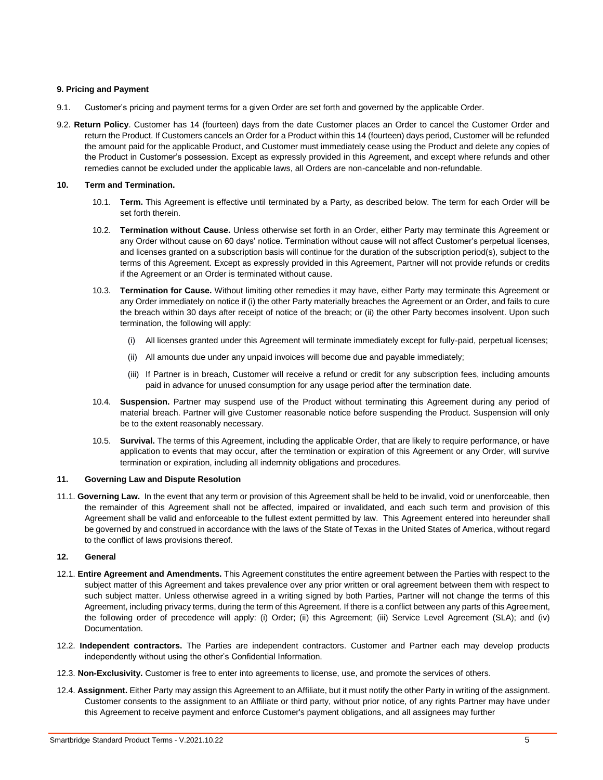## **9. Pricing and Payment**

- 9.1. Customer's pricing and payment terms for a given Order are set forth and governed by the applicable Order.
- 9.2. **Return Policy**. Customer has 14 (fourteen) days from the date Customer places an Order to cancel the Customer Order and return the Product. If Customers cancels an Order for a Product within this 14 (fourteen) days period, Customer will be refunded the amount paid for the applicable Product, and Customer must immediately cease using the Product and delete any copies of the Product in Customer's possession. Except as expressly provided in this Agreement, and except where refunds and other remedies cannot be excluded under the applicable laws, all Orders are non-cancelable and non-refundable.

#### **10. Term and Termination.**

- 10.1. **Term.** This Agreement is effective until terminated by a Party, as described below. The term for each Order will be set forth therein.
- 10.2. **Termination without Cause.** Unless otherwise set forth in an Order, either Party may terminate this Agreement or any Order without cause on 60 days' notice. Termination without cause will not affect Customer's perpetual licenses, and licenses granted on a subscription basis will continue for the duration of the subscription period(s), subject to the terms of this Agreement. Except as expressly provided in this Agreement, Partner will not provide refunds or credits if the Agreement or an Order is terminated without cause.
- 10.3. **Termination for Cause.** Without limiting other remedies it may have, either Party may terminate this Agreement or any Order immediately on notice if (i) the other Party materially breaches the Agreement or an Order, and fails to cure the breach within 30 days after receipt of notice of the breach; or (ii) the other Party becomes insolvent. Upon such termination, the following will apply:
	- (i) All licenses granted under this Agreement will terminate immediately except for fully-paid, perpetual licenses;
	- (ii) All amounts due under any unpaid invoices will become due and payable immediately;
	- (iii) If Partner is in breach, Customer will receive a refund or credit for any subscription fees, including amounts paid in advance for unused consumption for any usage period after the termination date.
- 10.4. **Suspension.** Partner may suspend use of the Product without terminating this Agreement during any period of material breach. Partner will give Customer reasonable notice before suspending the Product. Suspension will only be to the extent reasonably necessary.
- 10.5. **Survival.** The terms of this Agreement, including the applicable Order, that are likely to require performance, or have application to events that may occur, after the termination or expiration of this Agreement or any Order, will survive termination or expiration, including all indemnity obligations and procedures.

#### **11. Governing Law and Dispute Resolution**

11.1. **Governing Law.** In the event that any term or provision of this Agreement shall be held to be invalid, void or unenforceable, then the remainder of this Agreement shall not be affected, impaired or invalidated, and each such term and provision of this Agreement shall be valid and enforceable to the fullest extent permitted by law. This Agreement entered into hereunder shall be governed by and construed in accordance with the laws of the State of Texas in the United States of America, without regard to the conflict of laws provisions thereof.

# **12. General**

- 12.1. **Entire Agreement and Amendments.** This Agreement constitutes the entire agreement between the Parties with respect to the subject matter of this Agreement and takes prevalence over any prior written or oral agreement between them with respect to such subject matter. Unless otherwise agreed in a writing signed by both Parties, Partner will not change the terms of this Agreement, including privacy terms, during the term of this Agreement. If there is a conflict between any parts of this Agreement, the following order of precedence will apply: (i) Order; (ii) this Agreement; (iii) Service Level Agreement (SLA); and (iv) Documentation.
- 12.2. **Independent contractors.** The Parties are independent contractors. Customer and Partner each may develop products independently without using the other's Confidential Information.
- 12.3. **Non-Exclusivity.** Customer is free to enter into agreements to license, use, and promote the services of others.
- 12.4. **Assignment.** Either Party may assign this Agreement to an Affiliate, but it must notify the other Party in writing of the assignment. Customer consents to the assignment to an Affiliate or third party, without prior notice, of any rights Partner may have under this Agreement to receive payment and enforce Customer's payment obligations, and all assignees may further